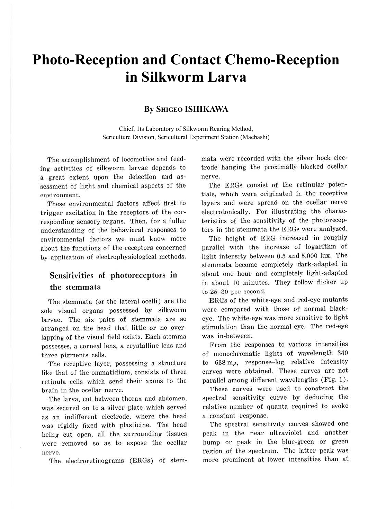# **Photo-Reception and Contact Chemo-Reception in Silkworm Larva**

## **By SHIGEO ISHIKAWA**

Chief, 1ts Laboratory of Silkworm Rearing Method, Sericulture Division, Sericultural Experiment Station (Maebashi)

The accomplishment of locomotive and feeding activities of silkworm larvae depends to a great extent upon the detection and assessment of light and chemical aspects of the environment.

These environmental factors affect first to trigger excitation in the receptors of the corresponding sensory organs. Then, for a fuller understanding of the behavioral responses to environmental factors we must know more about the functions of the receptors concerned by application of electrophysiological methods.

## **Sensitivities of photoreceptors in the stemmata**

The stemmata (or the lateral ocelli) are the sole visual organs possessed by silkworm larvae. The six pairs of stemmata are so arranged on the head that little or no overlapping of the visual field exists. Each stemma possesses, a corneal lens, a crystalline lens and three pigments cells.

The receptive layer, possessing a structure like that of the ommatidium, consists of three retinula cells which send their axons to the brain in the ocellar nerve.

The larva, cut between thorax and abdomen, was secured on to a silver plate which served as an indifferent electrode, where the head was rigidly fixed with plasticine. The head being cut open, all the surrounding tissues were removed so as to expose the ocellar nerve.

The electroretinograms (ERGs) of stem-

mata were recorded with the silver hock electrode hanging the proximally blocked ocellar nerve.

The ERGs consist of the retinular potentials, which were originated in the receptive layers and were spread on the ocellar nerve electrotonically. For illustrating the characteristics of the sensitivity of the photoreceptors in the stemmata the ERGs were analyzed.

The height of ERG increased in roughly parallel with the increase of logarithm of light intensity between 0.5 and 5,000 lux. The stemmata become completely dark-adapted in about one hour and completely light-adapted in about 10 minutes. They follow flicker up to 25-30 per second.

ERGs of the white-eye and red-eye mutants were compared with those of normal blackeye. The white-eye was more sensitive to light stimulation than the normal eye. The red-eye was in-between.

From the responses to various intensities of monochromatic lights of wavelength 340 to  $638 \text{ m}\mu$ , response-log relative intensity curves were obtained. These curves are not parallel among different wavelengths (Fig. 1).

These curves were used to construct the spectral sensitivity curve by deducing the relative number of quanta required to evoke a constant response.

The spectral sensitivity curves showed one peak in the near ultraviolet and another hump or peak in the blue-green or green region of the spectrum. The latter peak was more prominent at lower intensities than at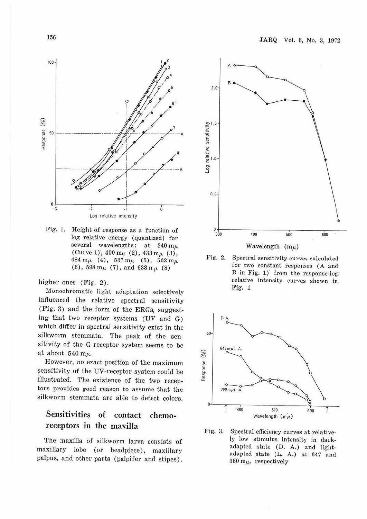

Fig. 1. Height of response as a function of log relative energy (quantized) for several wavelengths: at 340 m<sub>u</sub> (Curve 1),  $400 \text{ m}\mu$  (2),  $433 \text{ m}\mu$  (3), 484 m $\mu$  (4), 537 m $\mu$  (5), 562 m $\mu$ (6), 598 m $\mu$  (7), and 638 m $\mu$  (8)

higher ones (Fig. 2).

Monochromatic light adaptation selectively influenced the relative spectral sensitivity (Fig. 3) and the form of the ERGs, suggesting that two receptor systems (UV and G) which differ in spectral sensitivity exist in the silkworm stemmata. The peak of the sensitivity of the G receptor system seems to be at about  $540 \text{ m}\mu$ .

However, no exact position of the maximum sensitivity of the UV-receptor system could be illustrated. The existence of the two receptors provides good reason to assume that the silkworm stemmata are able to detect colors.

## **Sensitivities of contact chemo-1·eceptors in the maxilla**

The maxilla of silkworm larva consists of maxillary lobe (or headpiece), maxillary palpus, and other parts (palpifer and stipes).



Wavelength  $(m<sub>µ</sub>)$ 

Fig. 2. Spectral sensitivity curves calculated for two constant responses (A and B in Fig.  $1$ )' from the response-log relative intensity curves shown in Fig. 1



Fig. 3. Spectral efficiency curves at relatively low stimulus intensity in darkadapted state (D. A.) and lightadapted state (L. A.) at 647 and 360 m $\mu$ , respectively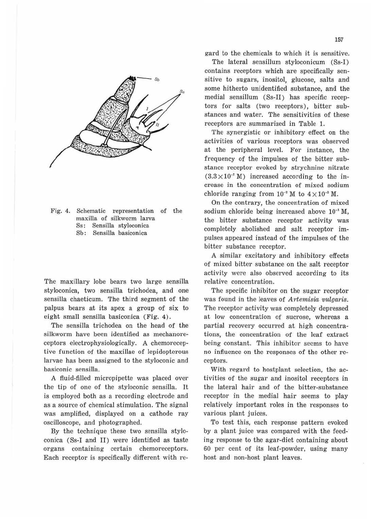

Fig. 4. Schematic representation of the maxilla of silkworm larva Ss: Sensilla styloconica Sb: Sensilla basiconica

The maxillary lobe bears two large sensilla styloconica, two sensilla trichodea, and one sensilla chaeticum. The third segment of the palpus bears at its apex a group of six to eight small sensilla basiconica (Fig. 4).

The sensilla trichodea on the head of the silkworm have been identified as mechanoreceptors electrophysiologically. A chemoreceptive function of the maxillae of lepidopterous larvae has been assigned to the styloconic and basiconic sensilla.

A fluid-filled micropipette was placed over the tip of one of the styloconic sensilla. It is employed both as a recording electrode and as a source of chemical stimulation. The signal was amplified, displayed on a cathode ray oscilloscope, and photographed.

By the technique these two sensilla styloconica (Ss-I and II) were identified as taste organs containing certain chemoreceptors. Each receptor is specifically different with regard to the chemicals to which it is sensitive.

The lateral sensillum styloconicum (Ss-I) contains receptors which are specifically sensitive to sugars, inositol, glucose, salts and some hitherto unidentified substance, and the medial sensillum (Ss-II) has specific receptors for salts (two receptors), bitter substances and water. The sensitivities of these receptors are summarized in Table 1.

The synergistic or inhibitory effect on the activities of various receptors was observed at the peripheral level. For instance, the frequency of the impulses of the bitter substance receptor evoked by strychnine nitrate  $(3.3 \times 10^{-7} \text{ M})$  increased according to the increase in the concentration of mixed sodium chloride ranging from  $10^{-2}$  M to  $4 \times 10^{-2}$  M.

On the contrary, the concentration of mixed sodium chloride being increased above  $10^{-1}$  M, the bitter substance receptor activity was completely abolished and salt receptor impulses appeared instead of the impulses of the bitter substance receptor.

A similar excitatory and inhibitory effects of mixed bitter substance on the salt receptor activity were also observed according to its relative concentration.

The specific inhibitor on the sugar receptor was found in the leaves of *Artemisia vulgaris.* The receptor activity was completely depressed at low concentration of sucrose, whereas a partial recovery occurred at high concentrations, the concentration of the leaf extract being constant. This inhibitor seems to have no influence on the responses of the other receptors.

With regard to hostplant selection, the activities of the sugar and inositol receptors in the lateral hair and of the bitter-substance receptor in the medial hair seems to play relatively important roles in the responses to various plant juices.

To test this, each response pattern evoked by a plant juice was compared with the feeding response to the agar-diet containing about 60 per cent of its leaf-powder, using many host and non-host plant leaves.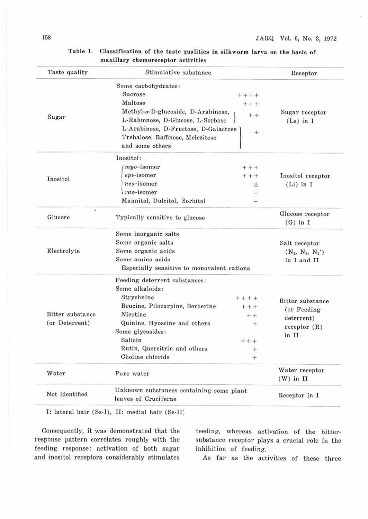| Taste quality                      | Stimulative substance                                                                                               |                                  | Receptor                                                               |                 |           |  |  |
|------------------------------------|---------------------------------------------------------------------------------------------------------------------|----------------------------------|------------------------------------------------------------------------|-----------------|-----------|--|--|
| Sugar                              | Some carbohydrates:                                                                                                 |                                  |                                                                        |                 |           |  |  |
|                                    | Sucrose                                                                                                             | $++++$                           |                                                                        |                 |           |  |  |
|                                    | Maltose                                                                                                             | $+++$                            |                                                                        |                 |           |  |  |
|                                    | $Methyl-\alpha-D-glucoside, D-Arabinose,$                                                                           | $++$                             | Sugar receptor                                                         |                 |           |  |  |
|                                    | L-Rahmnose, D-Glucose, L-Sorbose<br>L-Arabinose, D-Fructose, D-Galactose<br>$+$<br>Trehalose, Raffinose, Melezitose |                                  | $(Ls)$ in I                                                            |                 |           |  |  |
|                                    |                                                                                                                     |                                  |                                                                        | and some others |           |  |  |
|                                    |                                                                                                                     |                                  |                                                                        | Inositol        | Inositol: |  |  |
|                                    | myo-isomer                                                                                                          | $++++$                           |                                                                        |                 |           |  |  |
| epi-isomer                         | $++$                                                                                                                | Inositol receptor<br>$(Li)$ in I |                                                                        |                 |           |  |  |
| neo-isomer                         | 士                                                                                                                   |                                  |                                                                        |                 |           |  |  |
| $rac{rac - isomer}{}$              | -                                                                                                                   |                                  |                                                                        |                 |           |  |  |
| Mannitol, Dulcitol, Sorbitol       | $\overline{\phantom{a}}$                                                                                            |                                  |                                                                        |                 |           |  |  |
| ٠<br>Glucose                       |                                                                                                                     |                                  | Glucose receptor                                                       |                 |           |  |  |
|                                    | Typically sensitive to glucose                                                                                      |                                  | $(G)$ in I                                                             |                 |           |  |  |
| Electrolyte                        | Some inorganic salts                                                                                                |                                  |                                                                        |                 |           |  |  |
|                                    | Some organic salts                                                                                                  |                                  | Salt receptor                                                          |                 |           |  |  |
|                                    | Some organic acids                                                                                                  |                                  | $(N_1, N_2, N_2')$                                                     |                 |           |  |  |
|                                    | Some amino acids                                                                                                    |                                  | in I and II                                                            |                 |           |  |  |
|                                    | Especially sensitive to monovalent cations                                                                          |                                  |                                                                        |                 |           |  |  |
| Bitter substance<br>(or Deterrent) | Feeding deterrent substances:                                                                                       |                                  |                                                                        |                 |           |  |  |
|                                    | Some alkaloids:                                                                                                     |                                  |                                                                        |                 |           |  |  |
|                                    | Strychnine                                                                                                          | $+++++$                          | Bitter substance<br>(or Feeding)<br>deterrent)<br>receptor(R)<br>in II |                 |           |  |  |
|                                    | Brucine, Pilocarpine, Berberine                                                                                     | $+ + +$                          |                                                                        |                 |           |  |  |
|                                    | Nicotine                                                                                                            | $+ +$                            |                                                                        |                 |           |  |  |
|                                    | Quinine, Hyoscine and others                                                                                        | $+$                              |                                                                        |                 |           |  |  |
|                                    | Some glycosides:                                                                                                    |                                  |                                                                        |                 |           |  |  |
|                                    | Salicin                                                                                                             | $++$                             |                                                                        |                 |           |  |  |
|                                    | Rutin, Quercitrin and others                                                                                        | ÷                                |                                                                        |                 |           |  |  |
|                                    | Choline chloride                                                                                                    | ÷                                |                                                                        |                 |           |  |  |
| Water                              | Pure water                                                                                                          |                                  | Water receptor                                                         |                 |           |  |  |
|                                    |                                                                                                                     |                                  | $(W)$ in $II$                                                          |                 |           |  |  |
| Not identified                     | Unknown substances containing some plant                                                                            |                                  | Receptor in I                                                          |                 |           |  |  |
|                                    | leaves of Cruciferae                                                                                                |                                  |                                                                        |                 |           |  |  |

### Table 1. Classification of the taste qualities in silkworm larva on the basis of maxillary chemoreceptor activities

I: lateral hair (Ss-I), II: medial hair (Ss-II)

Consequently, it was demonstrated that the response pattern correlates roughly with the feeding response: activation of both sugar and inositol receptors considerably stimulates

feeding, whereas activation of the bittersubstance receptor plays a crucial role in the inhibition of feeding.

As far as the activities of these three